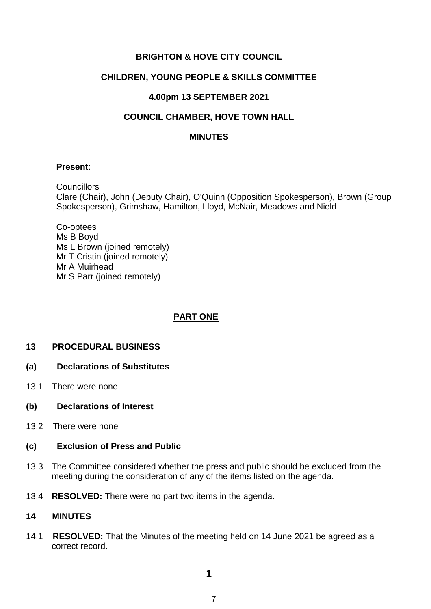# **BRIGHTON & HOVE CITY COUNCIL**

# **CHILDREN, YOUNG PEOPLE & SKILLS COMMITTEE**

# **4.00pm 13 SEPTEMBER 2021**

# **COUNCIL CHAMBER, HOVE TOWN HALL**

## **MINUTES**

#### **Present**:

**Councillors** Clare (Chair), John (Deputy Chair), O'Quinn (Opposition Spokesperson), Brown (Group Spokesperson), Grimshaw, Hamilton, Lloyd, McNair, Meadows and Nield

Co-optees Ms B Boyd Ms L Brown (joined remotely) Mr T Cristin (joined remotely) Mr A Muirhead Mr S Parr (joined remotely)

# **PART ONE**

# **13 PROCEDURAL BUSINESS**

- **(a) Declarations of Substitutes**
- 13.1 There were none
- **(b) Declarations of Interest**
- 13.2 There were none

# **(c) Exclusion of Press and Public**

- 13.3 The Committee considered whether the press and public should be excluded from the meeting during the consideration of any of the items listed on the agenda.
- 13.4 **RESOLVED:** There were no part two items in the agenda.

# **14 MINUTES**

14.1 **RESOLVED:** That the Minutes of the meeting held on 14 June 2021 be agreed as a correct record.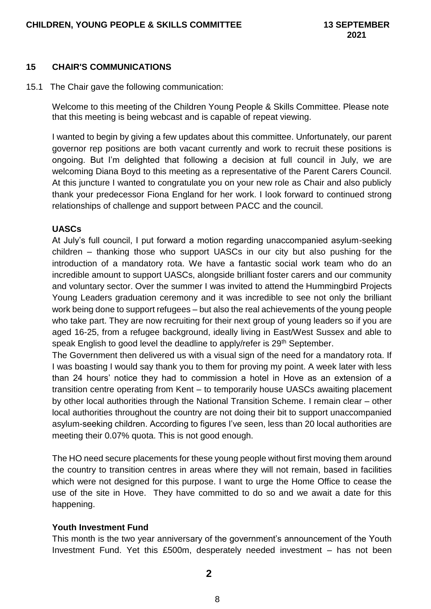#### **15 CHAIR'S COMMUNICATIONS**

15.1 The Chair gave the following communication:

Welcome to this meeting of the Children Young People & Skills Committee. Please note that this meeting is being webcast and is capable of repeat viewing.

I wanted to begin by giving a few updates about this committee. Unfortunately, our parent governor rep positions are both vacant currently and work to recruit these positions is ongoing. But I'm delighted that following a decision at full council in July, we are welcoming Diana Boyd to this meeting as a representative of the Parent Carers Council. At this juncture I wanted to congratulate you on your new role as Chair and also publicly thank your predecessor Fiona England for her work. I look forward to continued strong relationships of challenge and support between PACC and the council.

#### **UASCs**

At July's full council, I put forward a motion regarding unaccompanied asylum-seeking children – thanking those who support UASCs in our city but also pushing for the introduction of a mandatory rota. We have a fantastic social work team who do an incredible amount to support UASCs, alongside brilliant foster carers and our community and voluntary sector. Over the summer I was invited to attend the Hummingbird Projects Young Leaders graduation ceremony and it was incredible to see not only the brilliant work being done to support refugees – but also the real achievements of the young people who take part. They are now recruiting for their next group of young leaders so if you are aged 16-25, from a refugee background, ideally living in East/West Sussex and able to speak English to good level the deadline to apply/refer is 29<sup>th</sup> September.

The Government then delivered us with a visual sign of the need for a mandatory rota. If I was boasting I would say thank you to them for proving my point. A week later with less than 24 hours' notice they had to commission a hotel in Hove as an extension of a transition centre operating from Kent – to temporarily house UASCs awaiting placement by other local authorities through the National Transition Scheme. I remain clear – other local authorities throughout the country are not doing their bit to support unaccompanied asylum-seeking children. According to figures I've seen, less than 20 local authorities are meeting their 0.07% quota. This is not good enough.

The HO need secure placements for these young people without first moving them around the country to transition centres in areas where they will not remain, based in facilities which were not designed for this purpose. I want to urge the Home Office to cease the use of the site in Hove. They have committed to do so and we await a date for this happening.

# **Youth Investment Fund**

This month is the two year anniversary of the government's announcement of the Youth Investment Fund. Yet this £500m, desperately needed investment – has not been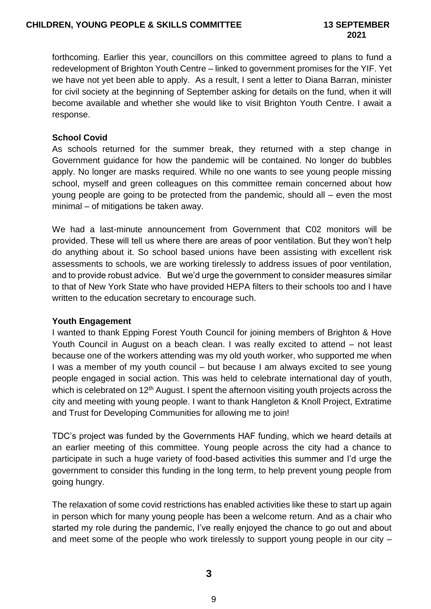forthcoming. Earlier this year, councillors on this committee agreed to plans to fund a redevelopment of Brighton Youth Centre – linked to government promises for the YIF. Yet we have not yet been able to apply. As a result, I sent a letter to Diana Barran, minister for civil society at the beginning of September asking for details on the fund, when it will become available and whether she would like to visit Brighton Youth Centre. I await a response.

## **School Covid**

As schools returned for the summer break, they returned with a step change in Government guidance for how the pandemic will be contained. No longer do bubbles apply. No longer are masks required. While no one wants to see young people missing school, myself and green colleagues on this committee remain concerned about how young people are going to be protected from the pandemic, should all – even the most minimal – of mitigations be taken away.

We had a last-minute announcement from Government that C02 monitors will be provided. These will tell us where there are areas of poor ventilation. But they won't help do anything about it. So school based unions have been assisting with excellent risk assessments to schools, we are working tirelessly to address issues of poor ventilation, and to provide robust advice. But we'd urge the government to consider measures similar to that of New York State who have provided HEPA filters to their schools too and I have written to the education secretary to encourage such.

#### **Youth Engagement**

I wanted to thank Epping Forest Youth Council for joining members of Brighton & Hove Youth Council in August on a beach clean. I was really excited to attend – not least because one of the workers attending was my old youth worker, who supported me when I was a member of my youth council – but because I am always excited to see young people engaged in social action. This was held to celebrate international day of youth, which is celebrated on 12<sup>th</sup> August. I spent the afternoon visiting youth projects across the city and meeting with young people. I want to thank Hangleton & Knoll Project, Extratime and Trust for Developing Communities for allowing me to join!

TDC's project was funded by the Governments HAF funding, which we heard details at an earlier meeting of this committee. Young people across the city had a chance to participate in such a huge variety of food-based activities this summer and I'd urge the government to consider this funding in the long term, to help prevent young people from going hungry.

The relaxation of some covid restrictions has enabled activities like these to start up again in person which for many young people has been a welcome return. And as a chair who started my role during the pandemic, I've really enjoyed the chance to go out and about and meet some of the people who work tirelessly to support young people in our city –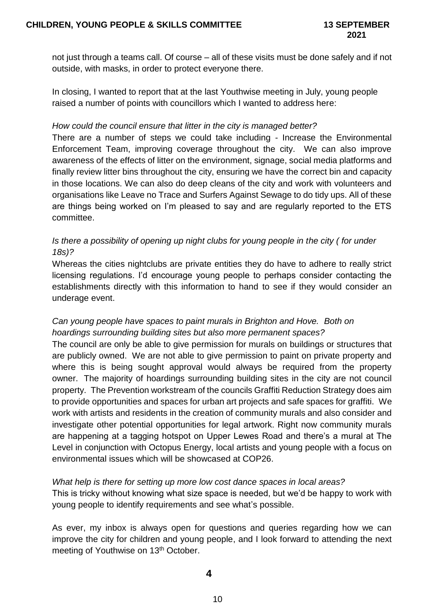not just through a teams call. Of course – all of these visits must be done safely and if not outside, with masks, in order to protect everyone there.

In closing, I wanted to report that at the last Youthwise meeting in July, young people raised a number of points with councillors which I wanted to address here:

# *How could the council ensure that litter in the city is managed better?*

There are a number of steps we could take including - Increase the Environmental Enforcement Team, improving coverage throughout the city. We can also improve awareness of the effects of litter on the environment, signage, social media platforms and finally review litter bins throughout the city, ensuring we have the correct bin and capacity in those locations. We can also do deep cleans of the city and work with volunteers and organisations like Leave no Trace and Surfers Against Sewage to do tidy ups. All of these are things being worked on I'm pleased to say and are regularly reported to the ETS committee.

# *Is there a possibility of opening up night clubs for young people in the city ( for under 18s)?*

Whereas the cities nightclubs are private entities they do have to adhere to really strict licensing regulations. I'd encourage young people to perhaps consider contacting the establishments directly with this information to hand to see if they would consider an underage event.

# *Can young people have spaces to paint murals in Brighton and Hove. Both on hoardings surrounding building sites but also more permanent spaces?*

The council are only be able to give permission for murals on buildings or structures that are publicly owned. We are not able to give permission to paint on private property and where this is being sought approval would always be required from the property owner. The majority of hoardings surrounding building sites in the city are not council property. The Prevention workstream of the councils Graffiti Reduction Strategy does aim to provide opportunities and spaces for urban art projects and safe spaces for graffiti. We work with artists and residents in the creation of community murals and also consider and investigate other potential opportunities for legal artwork. Right now community murals are happening at a tagging hotspot on Upper Lewes Road and there's a mural at The Level in conjunction with Octopus Energy, local artists and young people with a focus on environmental issues which will be showcased at COP26.

# *What help is there for setting up more low cost dance spaces in local areas?*

This is tricky without knowing what size space is needed, but we'd be happy to work with young people to identify requirements and see what's possible.

As ever, my inbox is always open for questions and queries regarding how we can improve the city for children and young people, and I look forward to attending the next meeting of Youthwise on 13<sup>th</sup> October.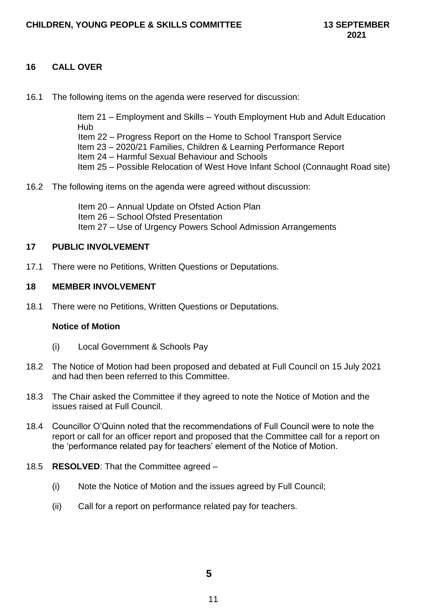# **16 CALL OVER**

16.1 The following items on the agenda were reserved for discussion:

Item 21 – Employment and Skills – Youth Employment Hub and Adult Education Hub Item 22 – Progress Report on the Home to School Transport Service Item 23 – 2020/21 Families, Children & Learning Performance Report Item 24 – Harmful Sexual Behaviour and Schools Item 25 – Possible Relocation of West Hove Infant School (Connaught Road site)

16.2 The following items on the agenda were agreed without discussion:

Item 20 – Annual Update on Ofsted Action Plan Item 26 – School Ofsted Presentation Item 27 – Use of Urgency Powers School Admission Arrangements

#### **17 PUBLIC INVOLVEMENT**

17.1 There were no Petitions, Written Questions or Deputations.

#### **18 MEMBER INVOLVEMENT**

18.1 There were no Petitions, Written Questions or Deputations.

#### **Notice of Motion**

- (i) Local Government & Schools Pay
- 18.2 The Notice of Motion had been proposed and debated at Full Council on 15 July 2021 and had then been referred to this Committee.
- 18.3 The Chair asked the Committee if they agreed to note the Notice of Motion and the issues raised at Full Council.
- 18.4 Councillor O'Quinn noted that the recommendations of Full Council were to note the report or call for an officer report and proposed that the Committee call for a report on the 'performance related pay for teachers' element of the Notice of Motion.
- 18.5 **RESOLVED**: That the Committee agreed
	- (i) Note the Notice of Motion and the issues agreed by Full Council;
	- (ii) Call for a report on performance related pay for teachers.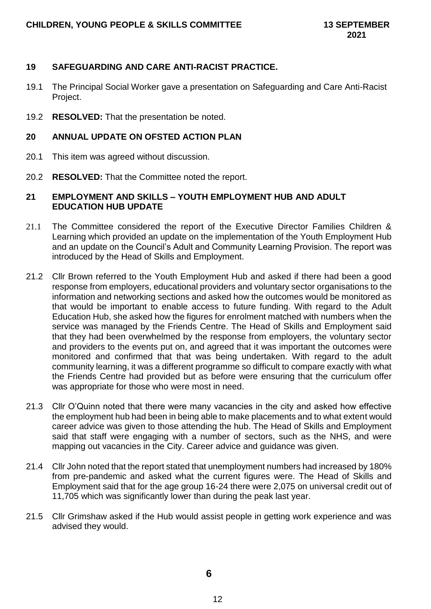## **19 SAFEGUARDING AND CARE ANTI-RACIST PRACTICE.**

- 19.1 The Principal Social Worker gave a presentation on Safeguarding and Care Anti-Racist Project.
- 19.2 **RESOLVED:** That the presentation be noted.

#### **20 ANNUAL UPDATE ON OFSTED ACTION PLAN**

- 20.1 This item was agreed without discussion.
- 20.2 **RESOLVED:** That the Committee noted the report.

## **21 EMPLOYMENT AND SKILLS – YOUTH EMPLOYMENT HUB AND ADULT EDUCATION HUB UPDATE**

- 21.1 The Committee considered the report of the Executive Director Families Children & Learning which provided an update on the implementation of the Youth Employment Hub and an update on the Council's Adult and Community Learning Provision. The report was introduced by the Head of Skills and Employment.
- 21.2 Cllr Brown referred to the Youth Employment Hub and asked if there had been a good response from employers, educational providers and voluntary sector organisations to the information and networking sections and asked how the outcomes would be monitored as that would be important to enable access to future funding. With regard to the Adult Education Hub, she asked how the figures for enrolment matched with numbers when the service was managed by the Friends Centre. The Head of Skills and Employment said that they had been overwhelmed by the response from employers, the voluntary sector and providers to the events put on, and agreed that it was important the outcomes were monitored and confirmed that that was being undertaken. With regard to the adult community learning, it was a different programme so difficult to compare exactly with what the Friends Centre had provided but as before were ensuring that the curriculum offer was appropriate for those who were most in need.
- 21.3 Cllr O'Quinn noted that there were many vacancies in the city and asked how effective the employment hub had been in being able to make placements and to what extent would career advice was given to those attending the hub. The Head of Skills and Employment said that staff were engaging with a number of sectors, such as the NHS, and were mapping out vacancies in the City. Career advice and guidance was given.
- 21.4 Cllr John noted that the report stated that unemployment numbers had increased by 180% from pre-pandemic and asked what the current figures were. The Head of Skills and Employment said that for the age group 16-24 there were 2,075 on universal credit out of 11,705 which was significantly lower than during the peak last year.
- 21.5 Cllr Grimshaw asked if the Hub would assist people in getting work experience and was advised they would.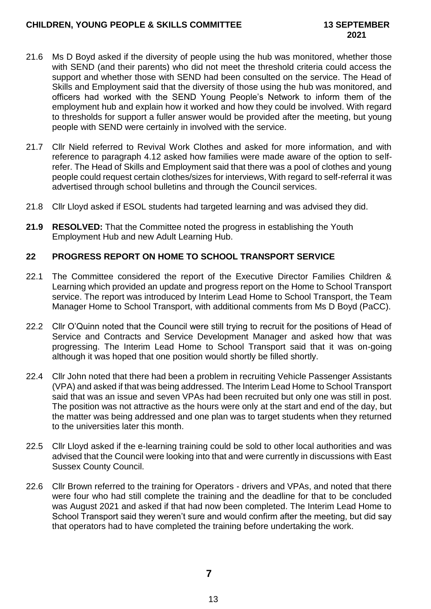- 21.6 Ms D Boyd asked if the diversity of people using the hub was monitored, whether those with SEND (and their parents) who did not meet the threshold criteria could access the support and whether those with SEND had been consulted on the service. The Head of Skills and Employment said that the diversity of those using the hub was monitored, and officers had worked with the SEND Young People's Network to inform them of the employment hub and explain how it worked and how they could be involved. With regard to thresholds for support a fuller answer would be provided after the meeting, but young people with SEND were certainly in involved with the service.
- 21.7 Cllr Nield referred to Revival Work Clothes and asked for more information, and with reference to paragraph 4.12 asked how families were made aware of the option to selfrefer. The Head of Skills and Employment said that there was a pool of clothes and young people could request certain clothes/sizes for interviews, With regard to self-referral it was advertised through school bulletins and through the Council services.
- 21.8 Cllr Lloyd asked if ESOL students had targeted learning and was advised they did.
- **21.9 RESOLVED:** That the Committee noted the progress in establishing the Youth Employment Hub and new Adult Learning Hub.

# **22 PROGRESS REPORT ON HOME TO SCHOOL TRANSPORT SERVICE**

- 22.1 The Committee considered the report of the Executive Director Families Children & Learning which provided an update and progress report on the Home to School Transport service. The report was introduced by Interim Lead Home to School Transport, the Team Manager Home to School Transport, with additional comments from Ms D Boyd (PaCC).
- 22.2 Cllr O'Quinn noted that the Council were still trying to recruit for the positions of Head of Service and Contracts and Service Development Manager and asked how that was progressing. The Interim Lead Home to School Transport said that it was on-going although it was hoped that one position would shortly be filled shortly.
- 22.4 Cllr John noted that there had been a problem in recruiting Vehicle Passenger Assistants (VPA) and asked if that was being addressed. The Interim Lead Home to School Transport said that was an issue and seven VPAs had been recruited but only one was still in post. The position was not attractive as the hours were only at the start and end of the day, but the matter was being addressed and one plan was to target students when they returned to the universities later this month.
- 22.5 Cllr Lloyd asked if the e-learning training could be sold to other local authorities and was advised that the Council were looking into that and were currently in discussions with East Sussex County Council.
- 22.6 Cllr Brown referred to the training for Operators drivers and VPAs, and noted that there were four who had still complete the training and the deadline for that to be concluded was August 2021 and asked if that had now been completed. The Interim Lead Home to School Transport said they weren't sure and would confirm after the meeting, but did say that operators had to have completed the training before undertaking the work.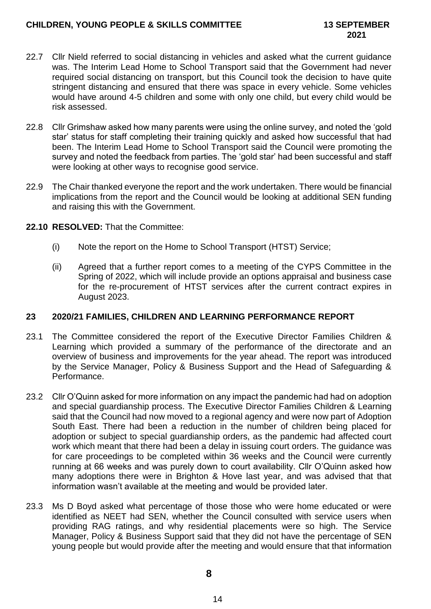- 22.7 Cllr Nield referred to social distancing in vehicles and asked what the current guidance was. The Interim Lead Home to School Transport said that the Government had never required social distancing on transport, but this Council took the decision to have quite stringent distancing and ensured that there was space in every vehicle. Some vehicles would have around 4-5 children and some with only one child, but every child would be risk assessed.
- 22.8 Cllr Grimshaw asked how many parents were using the online survey, and noted the 'gold star' status for staff completing their training quickly and asked how successful that had been. The Interim Lead Home to School Transport said the Council were promoting the survey and noted the feedback from parties. The 'gold star' had been successful and staff were looking at other ways to recognise good service.
- 22.9 The Chair thanked everyone the report and the work undertaken. There would be financial implications from the report and the Council would be looking at additional SEN funding and raising this with the Government.
- **22.10 RESOLVED:** That the Committee:
	- (i) Note the report on the Home to School Transport (HTST) Service;
	- (ii) Agreed that a further report comes to a meeting of the CYPS Committee in the Spring of 2022, which will include provide an options appraisal and business case for the re-procurement of HTST services after the current contract expires in August 2023.

# **23 2020/21 FAMILIES, CHILDREN AND LEARNING PERFORMANCE REPORT**

- 23.1 The Committee considered the report of the Executive Director Families Children & Learning which provided a summary of the performance of the directorate and an overview of business and improvements for the year ahead. The report was introduced by the Service Manager, Policy & Business Support and the Head of Safeguarding & Performance.
- 23.2 Cllr O'Quinn asked for more information on any impact the pandemic had had on adoption and special guardianship process. The Executive Director Families Children & Learning said that the Council had now moved to a regional agency and were now part of Adoption South East. There had been a reduction in the number of children being placed for adoption or subject to special guardianship orders, as the pandemic had affected court work which meant that there had been a delay in issuing court orders. The guidance was for care proceedings to be completed within 36 weeks and the Council were currently running at 66 weeks and was purely down to court availability. Cllr O'Quinn asked how many adoptions there were in Brighton & Hove last year, and was advised that that information wasn't available at the meeting and would be provided later.
- 23.3 Ms D Boyd asked what percentage of those those who were home educated or were identified as NEET had SEN, whether the Council consulted with service users when providing RAG ratings, and why residential placements were so high. The Service Manager, Policy & Business Support said that they did not have the percentage of SEN young people but would provide after the meeting and would ensure that that information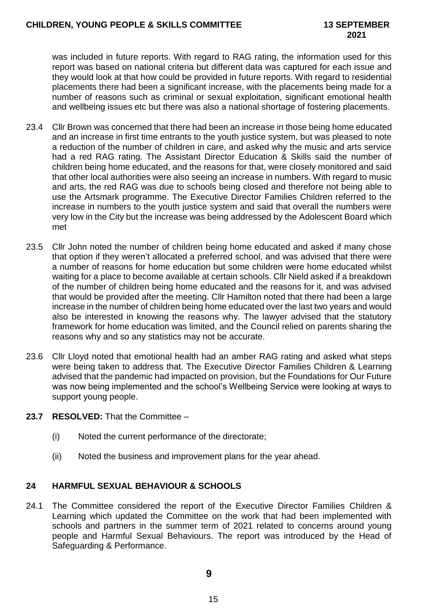# **2021**

was included in future reports. With regard to RAG rating, the information used for this report was based on national criteria but different data was captured for each issue and they would look at that how could be provided in future reports. With regard to residential placements there had been a significant increase, with the placements being made for a number of reasons such as criminal or sexual exploitation, significant emotional health and wellbeing issues etc but there was also a national shortage of fostering placements.

- 23.4 Cllr Brown was concerned that there had been an increase in those being home educated and an increase in first time entrants to the youth justice system, but was pleased to note a reduction of the number of children in care, and asked why the music and arts service had a red RAG rating. The Assistant Director Education & Skills said the number of children being home educated, and the reasons for that, were closely monitored and said that other local authorities were also seeing an increase in numbers. With regard to music and arts, the red RAG was due to schools being closed and therefore not being able to use the Artsmark programme. The Executive Director Families Children referred to the increase in numbers to the youth justice system and said that overall the numbers were very low in the City but the increase was being addressed by the Adolescent Board which met
- 23.5 Cllr John noted the number of children being home educated and asked if many chose that option if they weren't allocated a preferred school, and was advised that there were a number of reasons for home education but some children were home educated whilst waiting for a place to become available at certain schools. Cllr Nield asked if a breakdown of the number of children being home educated and the reasons for it, and was advised that would be provided after the meeting. Cllr Hamilton noted that there had been a large increase in the number of children being home educated over the last two years and would also be interested in knowing the reasons why. The lawyer advised that the statutory framework for home education was limited, and the Council relied on parents sharing the reasons why and so any statistics may not be accurate.
- 23.6 Cllr Lloyd noted that emotional health had an amber RAG rating and asked what steps were being taken to address that. The Executive Director Families Children & Learning advised that the pandemic had impacted on provision, but the Foundations for Our Future was now being implemented and the school's Wellbeing Service were looking at ways to support young people.
- **23.7 RESOLVED:** That the Committee
	- (i) Noted the current performance of the directorate;
	- (ii) Noted the business and improvement plans for the year ahead.

# **24 HARMFUL SEXUAL BEHAVIOUR & SCHOOLS**

24.1 The Committee considered the report of the Executive Director Families Children & Learning which updated the Committee on the work that had been implemented with schools and partners in the summer term of 2021 related to concerns around young people and Harmful Sexual Behaviours. The report was introduced by the Head of Safeguarding & Performance.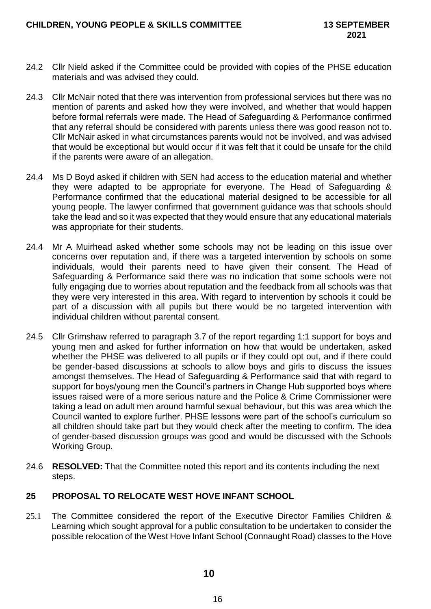- 24.2 Cllr Nield asked if the Committee could be provided with copies of the PHSE education materials and was advised they could.
- 24.3 Cllr McNair noted that there was intervention from professional services but there was no mention of parents and asked how they were involved, and whether that would happen before formal referrals were made. The Head of Safeguarding & Performance confirmed that any referral should be considered with parents unless there was good reason not to. Cllr McNair asked in what circumstances parents would not be involved, and was advised that would be exceptional but would occur if it was felt that it could be unsafe for the child if the parents were aware of an allegation.
- 24.4 Ms D Boyd asked if children with SEN had access to the education material and whether they were adapted to be appropriate for everyone. The Head of Safeguarding & Performance confirmed that the educational material designed to be accessible for all young people. The lawyer confirmed that government guidance was that schools should take the lead and so it was expected that they would ensure that any educational materials was appropriate for their students.
- 24.4 Mr A Muirhead asked whether some schools may not be leading on this issue over concerns over reputation and, if there was a targeted intervention by schools on some individuals, would their parents need to have given their consent. The Head of Safeguarding & Performance said there was no indication that some schools were not fully engaging due to worries about reputation and the feedback from all schools was that they were very interested in this area. With regard to intervention by schools it could be part of a discussion with all pupils but there would be no targeted intervention with individual children without parental consent.
- 24.5 Cllr Grimshaw referred to paragraph 3.7 of the report regarding 1:1 support for boys and young men and asked for further information on how that would be undertaken, asked whether the PHSE was delivered to all pupils or if they could opt out, and if there could be gender-based discussions at schools to allow boys and girls to discuss the issues amongst themselves. The Head of Safeguarding & Performance said that with regard to support for boys/young men the Council's partners in Change Hub supported boys where issues raised were of a more serious nature and the Police & Crime Commissioner were taking a lead on adult men around harmful sexual behaviour, but this was area which the Council wanted to explore further. PHSE lessons were part of the school's curriculum so all children should take part but they would check after the meeting to confirm. The idea of gender-based discussion groups was good and would be discussed with the Schools Working Group.
- 24.6 **RESOLVED:** That the Committee noted this report and its contents including the next steps.

# **25 PROPOSAL TO RELOCATE WEST HOVE INFANT SCHOOL**

25.1 The Committee considered the report of the Executive Director Families Children & Learning which sought approval for a public consultation to be undertaken to consider the possible relocation of the West Hove Infant School (Connaught Road) classes to the Hove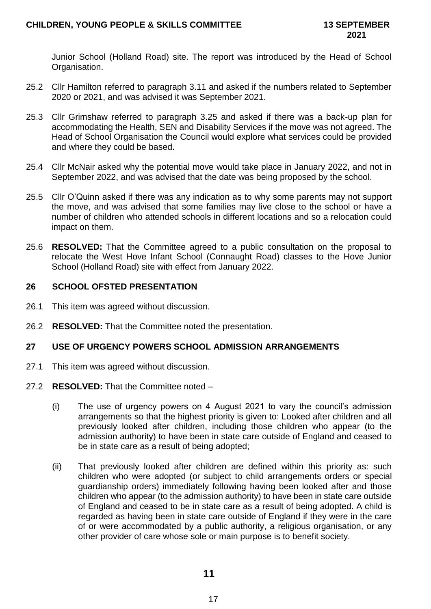Junior School (Holland Road) site. The report was introduced by the Head of School Organisation.

- 25.2 Cllr Hamilton referred to paragraph 3.11 and asked if the numbers related to September 2020 or 2021, and was advised it was September 2021.
- 25.3 Cllr Grimshaw referred to paragraph 3.25 and asked if there was a back-up plan for accommodating the Health, SEN and Disability Services if the move was not agreed. The Head of School Organisation the Council would explore what services could be provided and where they could be based.
- 25.4 Cllr McNair asked why the potential move would take place in January 2022, and not in September 2022, and was advised that the date was being proposed by the school.
- 25.5 Cllr O'Quinn asked if there was any indication as to why some parents may not support the move, and was advised that some families may live close to the school or have a number of children who attended schools in different locations and so a relocation could impact on them.
- 25.6 **RESOLVED:** That the Committee agreed to a public consultation on the proposal to relocate the West Hove Infant School (Connaught Road) classes to the Hove Junior School (Holland Road) site with effect from January 2022.

# **26 SCHOOL OFSTED PRESENTATION**

- 26.1 This item was agreed without discussion.
- 26.2 **RESOLVED:** That the Committee noted the presentation.

# **27 USE OF URGENCY POWERS SCHOOL ADMISSION ARRANGEMENTS**

27.1 This item was agreed without discussion.

# 27.2 **RESOLVED:** That the Committee noted –

- (i) The use of urgency powers on 4 August 2021 to vary the council's admission arrangements so that the highest priority is given to: Looked after children and all previously looked after children, including those children who appear (to the admission authority) to have been in state care outside of England and ceased to be in state care as a result of being adopted;
- (ii) That previously looked after children are defined within this priority as: such children who were adopted (or subject to child arrangements orders or special guardianship orders) immediately following having been looked after and those children who appear (to the admission authority) to have been in state care outside of England and ceased to be in state care as a result of being adopted. A child is regarded as having been in state care outside of England if they were in the care of or were accommodated by a public authority, a religious organisation, or any other provider of care whose sole or main purpose is to benefit society.